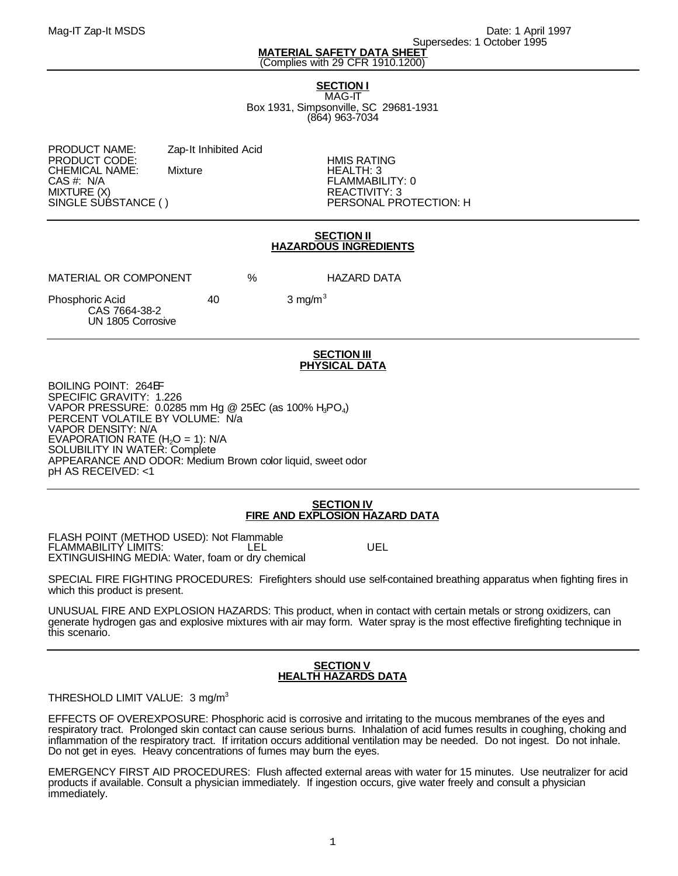Mag-IT Zap-It MSDS **Date: 1 April 1997** No. 2012 1997 No. 2014 Supersedes: 1 October 1995

### **MATERIAL SAFETY DATA SHEET** (Complies with 29 CFR 1910.1200)

# **SECTION I**

MAG-IT Box 1931, Simpsonville, SC 29681-1931 (864) 963-7034

PRODUCT NAME: Zap-It Inhibited Acid PRODUCT CODE: HMIS RATING CHEMICAL NAME:<br>CAS #: N/A CAS #: N/A FLAMMABILITY: 0 MIXTURE (X) REACTIVITY: 3

PERSONAL PROTECTION: H

## **SECTION II HAZARDOUS INGREDIENTS**

MATERIAL OR COMPONENT % HAZARD DATA

Phosphoric Acid 40 3 mg/m<sup>3</sup> CAS 7664-38-2 UN 1805 Corrosive

#### **SECTION III PHYSICAL DATA**

BOILING POINT: 264EF SPECIFIC GRAVITY: 1.226 <code>VAPOR</code> PRESSURE: 0.0285 mm Hg @ 25EC (as 100% H $_{3}$ PO $_{4})$ PERCENT VOLATILE BY VOLUME: N/a VAPOR DENSITY: N/A  $EVAPORATION RATE (H<sub>2</sub>O = 1): N/A$ SOLUBILITY IN WATER: Complete APPEARANCE AND ODOR: Medium Brown color liquid, sweet odor pH AS RECEIVED: <1

## **SECTION IV FIRE AND EXPLOSION HAZARD DATA**

FLASH POINT (METHOD USED): Not Flammable FLAMMABILITY LIMITS: LEL UEL EXTINGUISHING MEDIA: Water, foam or dry chemical

SPECIAL FIRE FIGHTING PROCEDURES: Firefighters should use self-contained breathing apparatus when fighting fires in which this product is present.

UNUSUAL FIRE AND EXPLOSION HAZARDS: This product, when in contact with certain metals or strong oxidizers, can generate hydrogen gas and explosive mixtures with air may form. Water spray is the most effective firefighting technique in this scenario.

### **SECTION V HEALTH HAZARDS DATA**

THRESHOLD LIMIT VALUE: 3 mg/m<sup>3</sup>

Ĭ EFFECTS OF OVEREXPOSURE: Phosphoric acid is corrosive and irritating to the mucous membranes of the eyes and respiratory tract. Prolonged skin contact can cause serious burns. Inhalation of acid fumes results in coughing, choking and inflammation of the respiratory tract. If irritation occurs additional ventilation may be needed. Do not ingest. Do not inhale. Do not get in eyes. Heavy concentrations of fumes may burn the eyes.

EMERGENCY FIRST AID PROCEDURES: Flush affected external areas with water for 15 minutes. Use neutralizer for acid products if available. Consult a physician immediately. If ingestion occurs, give water freely and consult a physician immediately.